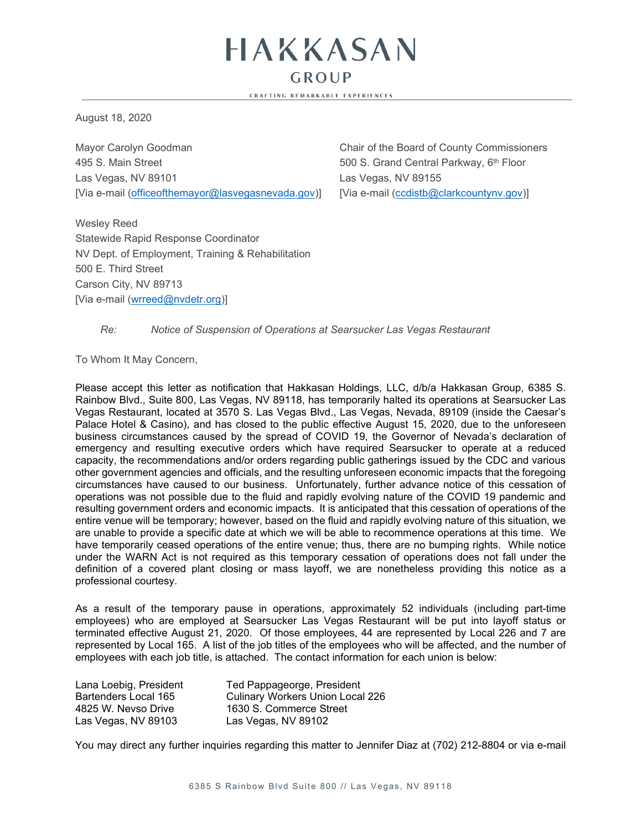$GROUP$ **CRAFTING REMARKABLE EXPERIENCES** 

HAKKASAN

August 18, 2020

Mayor Carolyn Goodman Chair of the Board of County Commissioners 495 S. Main Street 500 S. Grand Central Parkway, 6th Floor Las Vegas, NV 89101 **Las Vegas, NV 89155** [Via e-mail (officeofthemayor@lasvegasnevada.gov)] [Via e-mail [\(ccdistb@clarkcountynv.gov\)](mailto:ccdistb@clarkcountynv.gov)]

Wesley Reed Statewide Rapid Response Coordinator NV Dept. of Employment, Training & Rehabilitation 500 E. Third Street Carson City, NV 89713 [Via e-mail [\(wrreed@nvdetr.org\)](mailto:wrreed@nvdetr.org)]

*Re: Notice of Suspension of Operations at Searsucker Las Vegas Restaurant*

To Whom It May Concern,

Please accept this letter as notification that Hakkasan Holdings, LLC, d/b/a Hakkasan Group, 6385 S. Rainbow Blvd., Suite 800, Las Vegas, NV 89118, has temporarily halted its operations at Searsucker Las Vegas Restaurant, located at 3570 S. Las Vegas Blvd., Las Vegas, Nevada, 89109 (inside the Caesar's Palace Hotel & Casino), and has closed to the public effective August 15, 2020, due to the unforeseen business circumstances caused by the spread of COVID 19, the Governor of Nevada's declaration of emergency and resulting executive orders which have required Searsucker to operate at a reduced capacity, the recommendations and/or orders regarding public gatherings issued by the CDC and various other government agencies and officials, and the resulting unforeseen economic impacts that the foregoing circumstances have caused to our business. Unfortunately, further advance notice of this cessation of operations was not possible due to the fluid and rapidly evolving nature of the COVID 19 pandemic and resulting government orders and economic impacts. It is anticipated that this cessation of operations of the entire venue will be temporary; however, based on the fluid and rapidly evolving nature of this situation, we are unable to provide a specific date at which we will be able to recommence operations at this time. We have temporarily ceased operations of the entire venue; thus, there are no bumping rights. While notice under the WARN Act is not required as this temporary cessation of operations does not fall under the definition of a covered plant closing or mass layoff, we are nonetheless providing this notice as a professional courtesy.

As a result of the temporary pause in operations, approximately 52 individuals (including part-time employees) who are employed at Searsucker Las Vegas Restaurant will be put into layoff status or terminated effective August 21, 2020. Of those employees, 44 are represented by Local 226 and 7 are represented by Local 165. A list of the job titles of the employees who will be affected, and the number of employees with each job title, is attached. The contact information for each union is below:

| Lana Loebig, President | Ted Pappageorge, President              |
|------------------------|-----------------------------------------|
| Bartenders Local 165   | <b>Culinary Workers Union Local 226</b> |
| 4825 W. Nevso Drive    | 1630 S. Commerce Street                 |
| Las Vegas, NV 89103    | Las Vegas, NV 89102                     |

You may direct any further inquiries regarding this matter to Jennifer Diaz at (702) 212-8804 or via e-mail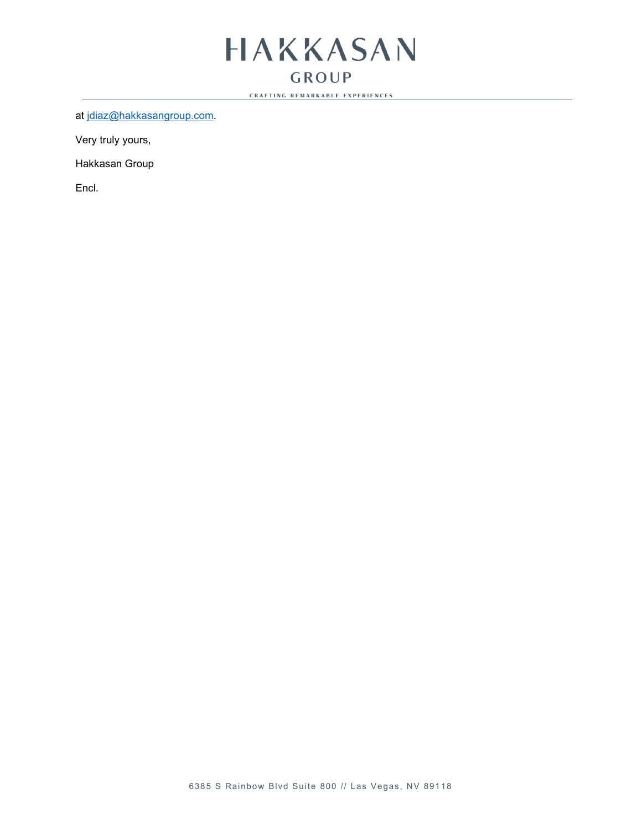## HAKKASAN **GROUP**

**CRAFTING REMARKABLE EXPERIENCES** 

at [jdiaz@hakkasangroup.com.](mailto:jdiaz@hakkasangroup.com)

Very truly yours,

Hakkasan Group

Encl.